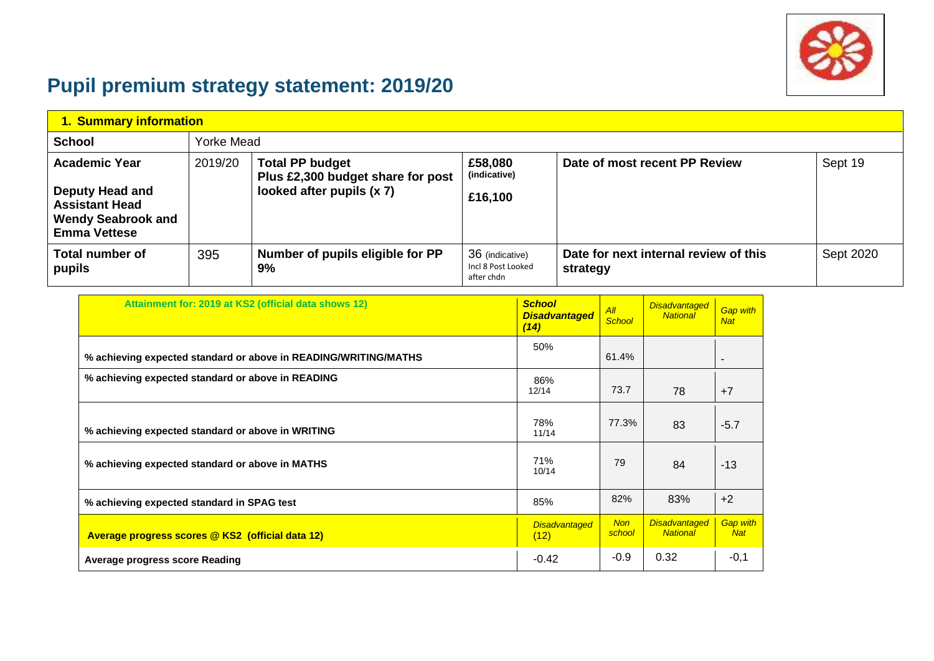

## **Pupil premium strategy statement: 2019/20**

| 1. Summary information                                                                                                      |         |                                                                                          |                                                     |                                                   |           |  |  |  |
|-----------------------------------------------------------------------------------------------------------------------------|---------|------------------------------------------------------------------------------------------|-----------------------------------------------------|---------------------------------------------------|-----------|--|--|--|
| <b>School</b>                                                                                                               |         | Yorke Mead                                                                               |                                                     |                                                   |           |  |  |  |
| <b>Academic Year</b><br><b>Deputy Head and</b><br><b>Assistant Head</b><br><b>Wendy Seabrook and</b><br><b>Emma Vettese</b> | 2019/20 | <b>Total PP budget</b><br>Plus £2,300 budget share for post<br>looked after pupils (x 7) | £58,080<br>(indicative)<br>£16,100                  | Date of most recent PP Review                     | Sept 19   |  |  |  |
| <b>Total number of</b><br>pupils                                                                                            | 395     | Number of pupils eligible for PP<br>9%                                                   | 36 (indicative)<br>Incl 8 Post Looked<br>after chdn | Date for next internal review of this<br>strategy | Sept 2020 |  |  |  |

| Attainment for: 2019 at KS2 (official data shows 12)            | <b>School</b><br><b>Disadvantaged</b><br>(14) | All<br><b>School</b> | <b>Disadvantaged</b><br><b>National</b> | <b>Gap with</b><br><b>Nat</b> |
|-----------------------------------------------------------------|-----------------------------------------------|----------------------|-----------------------------------------|-------------------------------|
| % achieving expected standard or above in READING/WRITING/MATHS | 50%                                           | 61.4%                |                                         | $\overline{\phantom{a}}$      |
| % achieving expected standard or above in READING               | 86%<br>12/14                                  | 73.7                 | 78                                      | $+7$                          |
| % achieving expected standard or above in WRITING               | 78%<br>11/14                                  | 77.3%                | 83                                      | $-5.7$                        |
| % achieving expected standard or above in MATHS                 | 71%<br>10/14                                  | 79                   | 84                                      | $-13$                         |
| % achieving expected standard in SPAG test                      | 85%                                           | 82%                  | 83%                                     | $+2$                          |
| Average progress scores @ KS2 (official data 12)                | <b>Disadvantaged</b><br>(12)                  | <b>Non</b><br>school | <b>Disadvantaged</b><br><b>National</b> | <b>Gap with</b><br><b>Nat</b> |
| <b>Average progress score Reading</b>                           | $-0.42$                                       | $-0.9$               | 0.32                                    | $-0,1$                        |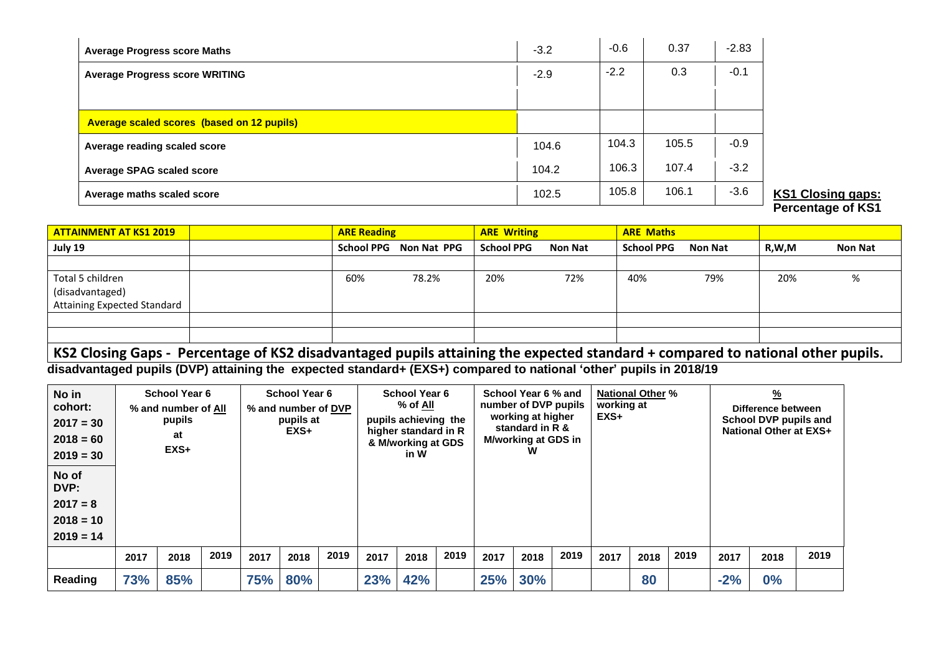| <b>Average Progress score Maths</b>               | $-3.2$ | $-0.6$ | 0.37  | $-2.83$ |
|---------------------------------------------------|--------|--------|-------|---------|
| <b>Average Progress score WRITING</b>             | $-2.9$ | $-2.2$ | 0.3   | $-0.1$  |
|                                                   |        |        |       |         |
| <b>Average scaled scores (based on 12 pupils)</b> |        |        |       |         |
| Average reading scaled score                      | 104.6  | 104.3  | 105.5 | $-0.9$  |
| <b>Average SPAG scaled score</b>                  | 104.2  | 106.3  | 107.4 | $-3.2$  |
| Average maths scaled score                        | 102.5  | 105.8  | 106.1 | $-3.6$  |

**KS1 Closing gaps: Percentage of KS1**

| <b>ATTAINMENT AT KS1 2019</b>      | <b>ARE Reading</b> |                        | <b>ARE Writing</b> |                | <b>ARE Maths</b>  |                |       |                |
|------------------------------------|--------------------|------------------------|--------------------|----------------|-------------------|----------------|-------|----------------|
| July 19                            |                    | School PPG Non Nat PPG | <b>School PPG</b>  | <b>Non Nat</b> | <b>School PPG</b> | <b>Non Nat</b> | R,W,M | <b>Non Nat</b> |
|                                    |                    |                        |                    |                |                   |                |       |                |
| Total 5 children                   | 60%                | 78.2%                  | 20%                | 72%            | 40%               | 79%            | 20%   | %              |
| (disadvantaged)                    |                    |                        |                    |                |                   |                |       |                |
| <b>Attaining Expected Standard</b> |                    |                        |                    |                |                   |                |       |                |
|                                    |                    |                        |                    |                |                   |                |       |                |
|                                    |                    |                        |                    |                |                   |                |       |                |

## **KS2 Closing Gaps - Percentage of KS2 disadvantaged pupils attaining the expected standard + compared to national other pupils.**

**disadvantaged pupils (DVP) attaining the expected standard+ (EXS+) compared to national 'other' pupils in 2018/19**

| No in<br>cohort:<br>$2017 = 30$<br>$2018 = 60$<br>$2019 = 30$ | <b>School Year 6</b><br>% and number of All<br>pupils<br>at<br>$EXS+$ |      |      | <b>School Year 6</b><br>% and number of DVP<br>pupils at<br>$EXS+$ |      |      | <b>School Year 6</b><br>% of All<br>pupils achieving the<br>higher standard in R<br>& M/working at GDS<br>in W |      | School Year 6 % and<br>number of DVP pupils<br>working at higher<br>standard in R &<br>M/working at GDS in<br>W |            | <b>National Other %</b><br>working at<br>$EXS+$ |      |      | $\frac{9}{6}$<br>Difference between<br>School DVP pupils and<br><b>National Other at EXS+</b> |      |       |      |      |
|---------------------------------------------------------------|-----------------------------------------------------------------------|------|------|--------------------------------------------------------------------|------|------|----------------------------------------------------------------------------------------------------------------|------|-----------------------------------------------------------------------------------------------------------------|------------|-------------------------------------------------|------|------|-----------------------------------------------------------------------------------------------|------|-------|------|------|
| No of<br>DVP:<br>$2017 = 8$<br>$2018 = 10$<br>$2019 = 14$     |                                                                       |      |      |                                                                    |      |      |                                                                                                                |      |                                                                                                                 |            |                                                 |      |      |                                                                                               |      |       |      |      |
|                                                               | 2017                                                                  | 2018 | 2019 | 2017                                                               | 2018 | 2019 | 2017                                                                                                           | 2018 | 2019                                                                                                            | 2017       | 2018                                            | 2019 | 2017 | 2018                                                                                          | 2019 | 2017  | 2018 | 2019 |
| Reading                                                       | 73%                                                                   | 85%  |      | 75%                                                                | 80%  |      | 23%                                                                                                            | 42%  |                                                                                                                 | <b>25%</b> | <b>30%</b>                                      |      |      | 80                                                                                            |      | $-2%$ | 0%   |      |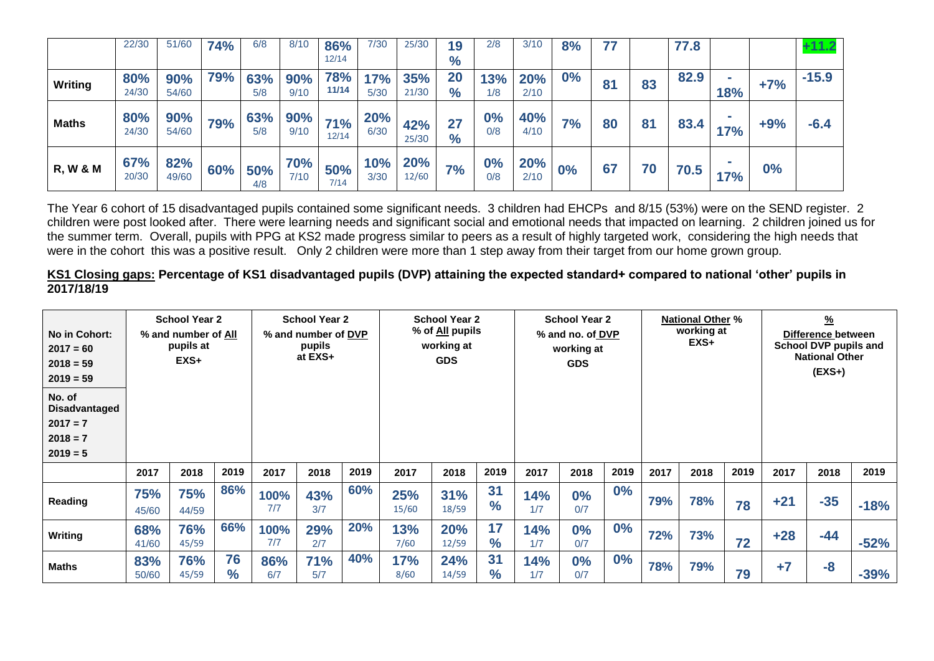|                     | 22/30        | 51/60        | <b>74%</b> | 6/8        | 8/10        | 86%                 | 7/30               | 25/30               | 19            | 2/8        | 3/10        | 8%    |    |    | 77.8 |            |       | +11.2   |
|---------------------|--------------|--------------|------------|------------|-------------|---------------------|--------------------|---------------------|---------------|------------|-------------|-------|----|----|------|------------|-------|---------|
|                     |              |              |            |            |             | 12/14               |                    |                     | $\frac{9}{6}$ |            |             |       |    |    |      |            |       |         |
| Writing             | 80%<br>24/30 | 90%<br>54/60 | 79%        | 63%<br>5/8 | 90%<br>9/10 | <b>78%</b><br>11/14 | 17%<br>5/30        | 35%<br>21/30        | 20<br>$\%$    | 13%<br>1/8 | 20%<br>2/10 | $0\%$ | 81 | 83 | 82.9 | <b>18%</b> | $+7%$ | $-15.9$ |
| <b>Maths</b>        | 80%<br>24/30 | 90%<br>54/60 | 79%        | 63%<br>5/8 | 90%<br>9/10 | 71%<br>12/14        | <b>20%</b><br>6/30 | 42%<br>25/30        | 27<br>$\%$    | 0%<br>0/8  | 40%<br>4/10 | 7%    | 80 | 81 | 83.4 | 17%        | $+9%$ | $-6.4$  |
| <b>R, W &amp; M</b> | 67%<br>20/30 | 82%<br>49/60 | 60%        | 50%<br>4/8 | 70%<br>7/10 | 50%<br>7/14         | 10%<br>3/30        | <b>20%</b><br>12/60 | 7%            | 0%<br>0/8  | 20%<br>2/10 | 0%    | 67 | 70 | 70.5 | 17%        | 0%    |         |

The Year 6 cohort of 15 disadvantaged pupils contained some significant needs. 3 children had EHCPs and 8/15 (53%) were on the SEND register. 2 children were post looked after. There were learning needs and significant social and emotional needs that impacted on learning. 2 children joined us for the summer term. Overall, pupils with PPG at KS2 made progress similar to peers as a result of highly targeted work, considering the high needs that were in the cohort this was a positive result. Only 2 children were more than 1 step away from their target from our home grown group.

**KS1 Closing gaps: Percentage of KS1 disadvantaged pupils (DVP) attaining the expected standard+ compared to national 'other' pupils in 2017/18/19**

| No in Cohort:<br>$2017 = 60$<br>$2018 = 59$<br>$2019 = 59$               | <b>School Year 2</b><br>% and number of All<br>pupils at<br>$EXS+$ |              |                     |             | <b>School Year 2</b><br><b>School Year 2</b><br>% of <u>All</u> pupils<br>% and number of DVP<br>working at<br>pupils<br>at EXS+<br><b>GDS</b> |      |                    |                     |                     | <b>School Year 2</b><br>% and no. of DVP<br>working at<br><b>GDS</b> |              |      | <b>National Other %</b><br>working at<br>EXS+ |      |      | $\frac{9}{6}$<br>Difference between<br>School DVP pupils and<br><b>National Other</b><br>$(EXS+)$ |       |        |
|--------------------------------------------------------------------------|--------------------------------------------------------------------|--------------|---------------------|-------------|------------------------------------------------------------------------------------------------------------------------------------------------|------|--------------------|---------------------|---------------------|----------------------------------------------------------------------|--------------|------|-----------------------------------------------|------|------|---------------------------------------------------------------------------------------------------|-------|--------|
| No. of<br><b>Disadvantaged</b><br>$2017 = 7$<br>$2018 = 7$<br>$2019 = 5$ |                                                                    |              |                     |             |                                                                                                                                                |      |                    |                     |                     |                                                                      |              |      |                                               |      |      |                                                                                                   |       |        |
|                                                                          | 2017                                                               | 2018         | 2019                | 2017        | 2018                                                                                                                                           | 2019 | 2017               | 2018                | 2019                | 2017                                                                 | 2018         | 2019 | 2017                                          | 2018 | 2019 | 2017                                                                                              | 2018  | 2019   |
| <b>Reading</b>                                                           | 75%<br>45/60                                                       | 75%<br>44/59 | 86%                 | 100%<br>7/7 | 43%<br>3/7                                                                                                                                     | 60%  | 25%<br>15/60       | 31%<br>18/59        | 31<br>$\frac{9}{6}$ | 14%<br>1/7                                                           | 0%<br>0/7    | 0%   | 79%                                           | 78%  | 78   | $+21$                                                                                             | $-35$ | $-18%$ |
| Writing                                                                  | 68%<br>41/60                                                       | 76%<br>45/59 | 66%                 | 100%<br>7/7 | 29%<br>2/7                                                                                                                                     | 20%  | 13%<br>7/60        | <b>20%</b><br>12/59 | 17<br>$\%$          | 14%<br>1/7                                                           | 0%<br>0/7    | 0%   | 72%                                           | 73%  | 72   | $+28$                                                                                             | $-44$ | $-52%$ |
| <b>Maths</b>                                                             | 83%<br>50/60                                                       | 76%<br>45/59 | 76<br>$\frac{1}{2}$ | 86%<br>6/7  | 71%<br>5/7                                                                                                                                     | 40%  | <b>17%</b><br>8/60 | 24%<br>14/59        | 31<br>$\%$          | 14%<br>1/7                                                           | $0\%$<br>0/7 | 0%   | 78%                                           | 79%  | 79   | $+7$                                                                                              | $-8$  | $-39%$ |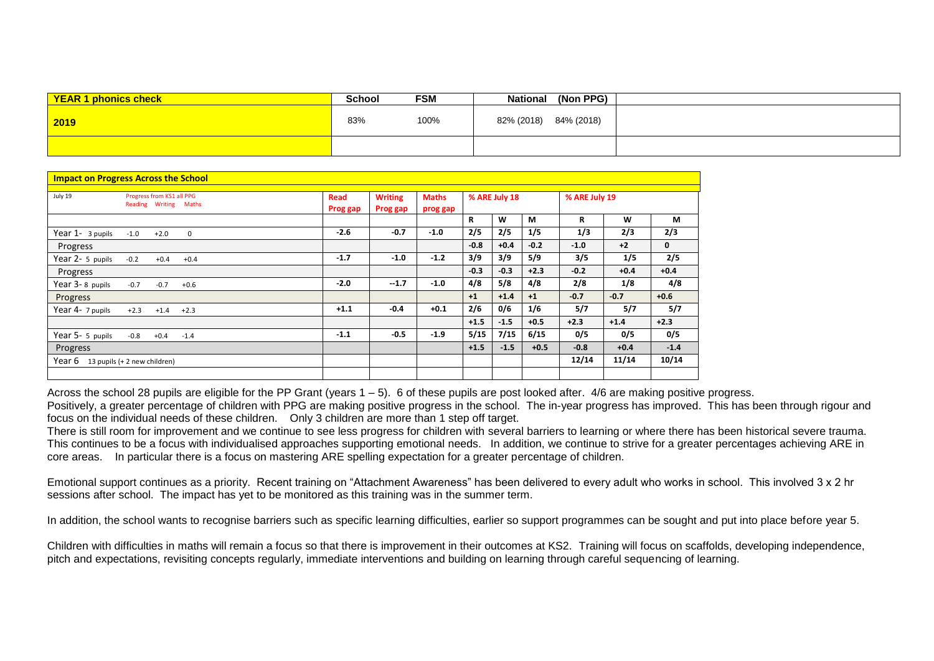| <b>YEAR 1 phonics check</b> | <b>School</b> | <b>FSM</b> | National   | (Non PPG)  |  |
|-----------------------------|---------------|------------|------------|------------|--|
| 2019                        | 83%           | 100%       | 82% (2018) | 84% (2018) |  |
|                             |               |            |            |            |  |

|                                         | <b>Impact on Progress Across the School</b>        |                  |                            |                          |        |               |        |               |        |              |
|-----------------------------------------|----------------------------------------------------|------------------|----------------------------|--------------------------|--------|---------------|--------|---------------|--------|--------------|
| July 19                                 | Progress from KS1 all PPG<br>Reading Writing Maths | Read<br>Prog gap | <b>Writing</b><br>Prog gap | <b>Maths</b><br>prog gap |        | % ARE July 18 |        | % ARE July 19 |        |              |
|                                         |                                                    |                  |                            |                          | R      | W             | M      | R             | W      | М            |
| Year 1- 3 pupils                        | $-1.0$<br>$+2.0$<br>0                              | $-2.6$           | $-0.7$                     | $-1.0$                   | 2/5    | 2/5           | 1/5    | 1/3           | 2/3    | 2/3          |
| Progress                                |                                                    |                  |                            |                          | $-0.8$ | $+0.4$        | $-0.2$ | $-1.0$        | $+2$   | $\mathbf{0}$ |
| Year 2- 5 pupils                        | $-0.2$<br>$+0.4$<br>$+0.4$                         | $-1.7$           | $-1.0$                     | $-1.2$                   | 3/9    | 3/9           | 5/9    | 3/5           | 1/5    | 2/5          |
| Progress                                |                                                    |                  |                            |                          | $-0.3$ | $-0.3$        | $+2.3$ | $-0.2$        | $+0.4$ | $+0.4$       |
| Year 3-8 pupils                         | $-0.7$<br>$-0.7$<br>$+0.6$                         | $-2.0$           | $-1.7$                     | $-1.0$                   | 4/8    | 5/8           | 4/8    | 2/8           | 1/8    | 4/8          |
| Progress                                |                                                    |                  |                            |                          | $+1$   | $+1.4$        | $+1$   | $-0.7$        | $-0.7$ | $+0.6$       |
| Year 4- 7 pupils                        | $+2.3$<br>$+1.4$<br>$+2.3$                         | $+1.1$           | $-0.4$                     | $+0.1$                   | 2/6    | 0/6           | 1/6    | 5/7           | 5/7    | 5/7          |
|                                         |                                                    |                  |                            |                          | $+1.5$ | $-1.5$        | $+0.5$ | $+2.3$        | $+1.4$ | $+2.3$       |
| Year 5- 5 pupils                        | -0.8<br>$+0.4$<br>$-1.4$                           | $-1.1$           | $-0.5$                     | $-1.9$                   | 5/15   | 7/15          | 6/15   | 0/5           | 0/5    | 0/5          |
| Progress                                |                                                    |                  |                            |                          | $+1.5$ | $-1.5$        | $+0.5$ | $-0.8$        | $+0.4$ | $-1.4$       |
| Year $6 - 13$ pupils (+ 2 new children) |                                                    |                  |                            |                          |        |               |        | 12/14         | 11/14  | 10/14        |
|                                         |                                                    |                  |                            |                          |        |               |        |               |        |              |

Across the school 28 pupils are eligible for the PP Grant (years  $1 - 5$ ). 6 of these pupils are post looked after. 4/6 are making positive progress.

Positively, a greater percentage of children with PPG are making positive progress in the school. The in-year progress has improved. This has been through rigour and focus on the individual needs of these children. Only 3 children are more than 1 step off target.

There is still room for improvement and we continue to see less progress for children with several barriers to learning or where there has been historical severe trauma. This continues to be a focus with individualised approaches supporting emotional needs. In addition, we continue to strive for a greater percentages achieving ARE in core areas. In particular there is a focus on mastering ARE spelling expectation for a greater percentage of children.

Emotional support continues as a priority. Recent training on "Attachment Awareness" has been delivered to every adult who works in school. This involved 3 x 2 hr sessions after school. The impact has yet to be monitored as this training was in the summer term.

In addition, the school wants to recognise barriers such as specific learning difficulties, earlier so support programmes can be sought and put into place before year 5.

Children with difficulties in maths will remain a focus so that there is improvement in their outcomes at KS2. Training will focus on scaffolds, developing independence, pitch and expectations, revisiting concepts regularly, immediate interventions and building on learning through careful sequencing of learning.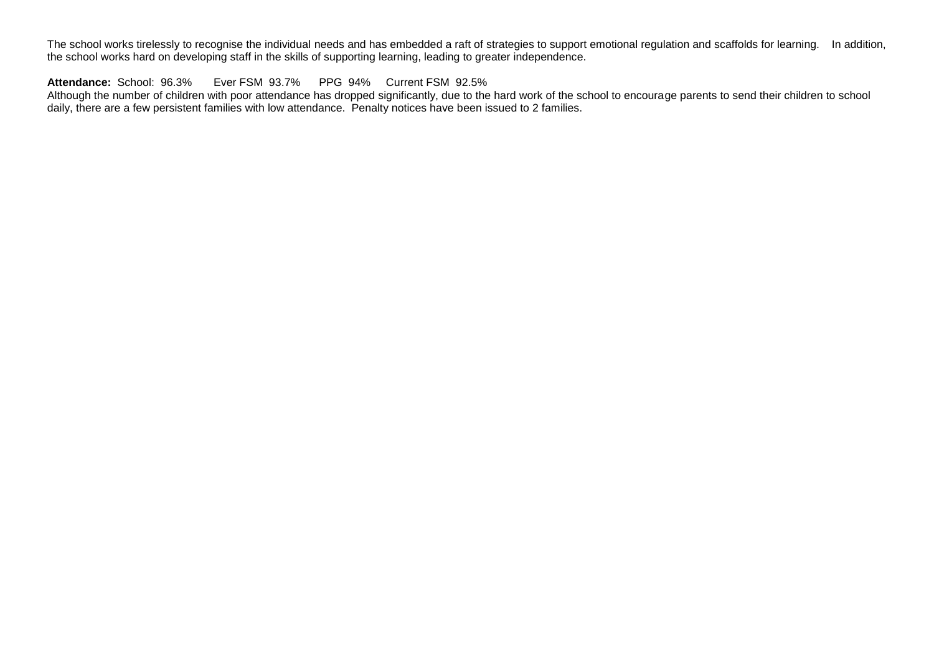The school works tirelessly to recognise the individual needs and has embedded a raft of strategies to support emotional regulation and scaffolds for learning. In addition, the school works hard on developing staff in the skills of supporting learning, leading to greater independence.

**Attendance:** School: 96.3% Ever FSM 93.7% PPG 94% Current FSM 92.5%

Although the number of children with poor attendance has dropped significantly, due to the hard work of the school to encourage parents to send their children to school daily, there are a few persistent families with low attendance. Penalty notices have been issued to 2 families.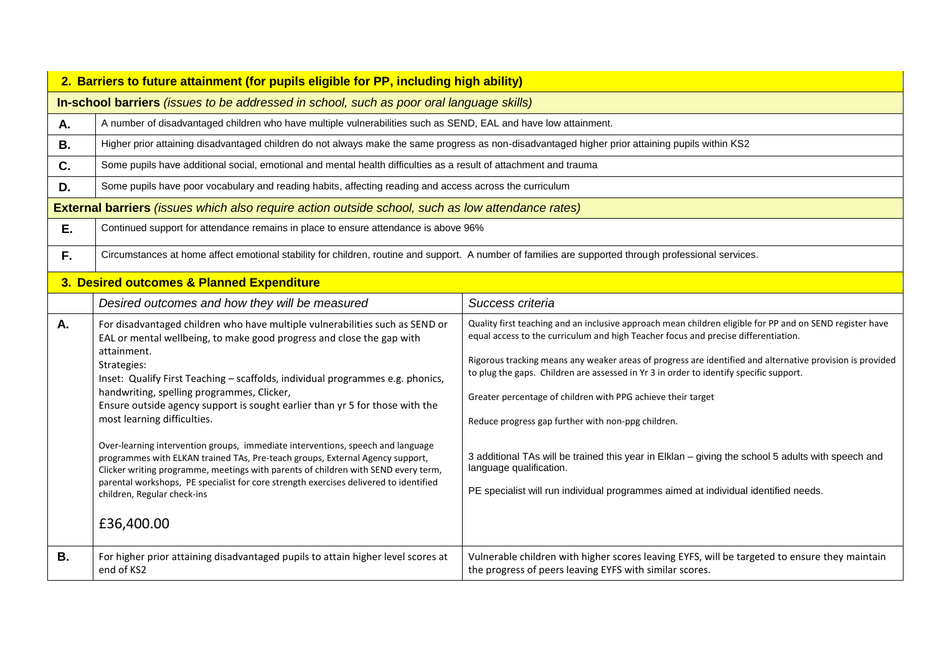|           | 2. Barriers to future attainment (for pupils eligible for PP, including high ability)                                                                                                                                                                                                                                                                                                                                                                                                                                                                                                                                                                                                                                                                                                                                              |                                                                                                                                                                                                                                                                                                                                                                                                                                                                                                                                                                                                                                                                                                                                                   |  |  |  |  |  |  |  |
|-----------|------------------------------------------------------------------------------------------------------------------------------------------------------------------------------------------------------------------------------------------------------------------------------------------------------------------------------------------------------------------------------------------------------------------------------------------------------------------------------------------------------------------------------------------------------------------------------------------------------------------------------------------------------------------------------------------------------------------------------------------------------------------------------------------------------------------------------------|---------------------------------------------------------------------------------------------------------------------------------------------------------------------------------------------------------------------------------------------------------------------------------------------------------------------------------------------------------------------------------------------------------------------------------------------------------------------------------------------------------------------------------------------------------------------------------------------------------------------------------------------------------------------------------------------------------------------------------------------------|--|--|--|--|--|--|--|
|           | In-school barriers <i>(issues to be addressed in school, such as poor oral language skills)</i>                                                                                                                                                                                                                                                                                                                                                                                                                                                                                                                                                                                                                                                                                                                                    |                                                                                                                                                                                                                                                                                                                                                                                                                                                                                                                                                                                                                                                                                                                                                   |  |  |  |  |  |  |  |
| А.        | A number of disadvantaged children who have multiple vulnerabilities such as SEND, EAL and have low attainment.                                                                                                                                                                                                                                                                                                                                                                                                                                                                                                                                                                                                                                                                                                                    |                                                                                                                                                                                                                                                                                                                                                                                                                                                                                                                                                                                                                                                                                                                                                   |  |  |  |  |  |  |  |
| <b>B.</b> | Higher prior attaining disadvantaged children do not always make the same progress as non-disadvantaged higher prior attaining pupils within KS2                                                                                                                                                                                                                                                                                                                                                                                                                                                                                                                                                                                                                                                                                   |                                                                                                                                                                                                                                                                                                                                                                                                                                                                                                                                                                                                                                                                                                                                                   |  |  |  |  |  |  |  |
| C.        | Some pupils have additional social, emotional and mental health difficulties as a result of attachment and trauma                                                                                                                                                                                                                                                                                                                                                                                                                                                                                                                                                                                                                                                                                                                  |                                                                                                                                                                                                                                                                                                                                                                                                                                                                                                                                                                                                                                                                                                                                                   |  |  |  |  |  |  |  |
| D.        | Some pupils have poor vocabulary and reading habits, affecting reading and access across the curriculum                                                                                                                                                                                                                                                                                                                                                                                                                                                                                                                                                                                                                                                                                                                            |                                                                                                                                                                                                                                                                                                                                                                                                                                                                                                                                                                                                                                                                                                                                                   |  |  |  |  |  |  |  |
|           | <b>External barriers</b> (issues which also require action outside school, such as low attendance rates)                                                                                                                                                                                                                                                                                                                                                                                                                                                                                                                                                                                                                                                                                                                           |                                                                                                                                                                                                                                                                                                                                                                                                                                                                                                                                                                                                                                                                                                                                                   |  |  |  |  |  |  |  |
| Ε.        | Continued support for attendance remains in place to ensure attendance is above 96%                                                                                                                                                                                                                                                                                                                                                                                                                                                                                                                                                                                                                                                                                                                                                |                                                                                                                                                                                                                                                                                                                                                                                                                                                                                                                                                                                                                                                                                                                                                   |  |  |  |  |  |  |  |
| F.        | Circumstances at home affect emotional stability for children, routine and support. A number of families are supported through professional services.                                                                                                                                                                                                                                                                                                                                                                                                                                                                                                                                                                                                                                                                              |                                                                                                                                                                                                                                                                                                                                                                                                                                                                                                                                                                                                                                                                                                                                                   |  |  |  |  |  |  |  |
|           | 3. Desired outcomes & Planned Expenditure                                                                                                                                                                                                                                                                                                                                                                                                                                                                                                                                                                                                                                                                                                                                                                                          |                                                                                                                                                                                                                                                                                                                                                                                                                                                                                                                                                                                                                                                                                                                                                   |  |  |  |  |  |  |  |
|           | Desired outcomes and how they will be measured                                                                                                                                                                                                                                                                                                                                                                                                                                                                                                                                                                                                                                                                                                                                                                                     | Success criteria                                                                                                                                                                                                                                                                                                                                                                                                                                                                                                                                                                                                                                                                                                                                  |  |  |  |  |  |  |  |
| A.        | For disadvantaged children who have multiple vulnerabilities such as SEND or<br>EAL or mental wellbeing, to make good progress and close the gap with<br>attainment.<br>Strategies:<br>Inset: Qualify First Teaching - scaffolds, individual programmes e.g. phonics,<br>handwriting, spelling programmes, Clicker,<br>Ensure outside agency support is sought earlier than yr 5 for those with the<br>most learning difficulties.<br>Over-learning intervention groups, immediate interventions, speech and language<br>programmes with ELKAN trained TAs, Pre-teach groups, External Agency support,<br>Clicker writing programme, meetings with parents of children with SEND every term,<br>parental workshops, PE specialist for core strength exercises delivered to identified<br>children, Regular check-ins<br>£36,400.00 | Quality first teaching and an inclusive approach mean children eligible for PP and on SEND register have<br>equal access to the curriculum and high Teacher focus and precise differentiation.<br>Rigorous tracking means any weaker areas of progress are identified and alternative provision is provided<br>to plug the gaps. Children are assessed in Yr 3 in order to identify specific support.<br>Greater percentage of children with PPG achieve their target<br>Reduce progress gap further with non-ppg children.<br>3 additional TAs will be trained this year in Elklan - giving the school 5 adults with speech and<br>language qualification.<br>PE specialist will run individual programmes aimed at individual identified needs. |  |  |  |  |  |  |  |
| <b>B.</b> | For higher prior attaining disadvantaged pupils to attain higher level scores at<br>end of KS2                                                                                                                                                                                                                                                                                                                                                                                                                                                                                                                                                                                                                                                                                                                                     | Vulnerable children with higher scores leaving EYFS, will be targeted to ensure they maintain<br>the progress of peers leaving EYFS with similar scores.                                                                                                                                                                                                                                                                                                                                                                                                                                                                                                                                                                                          |  |  |  |  |  |  |  |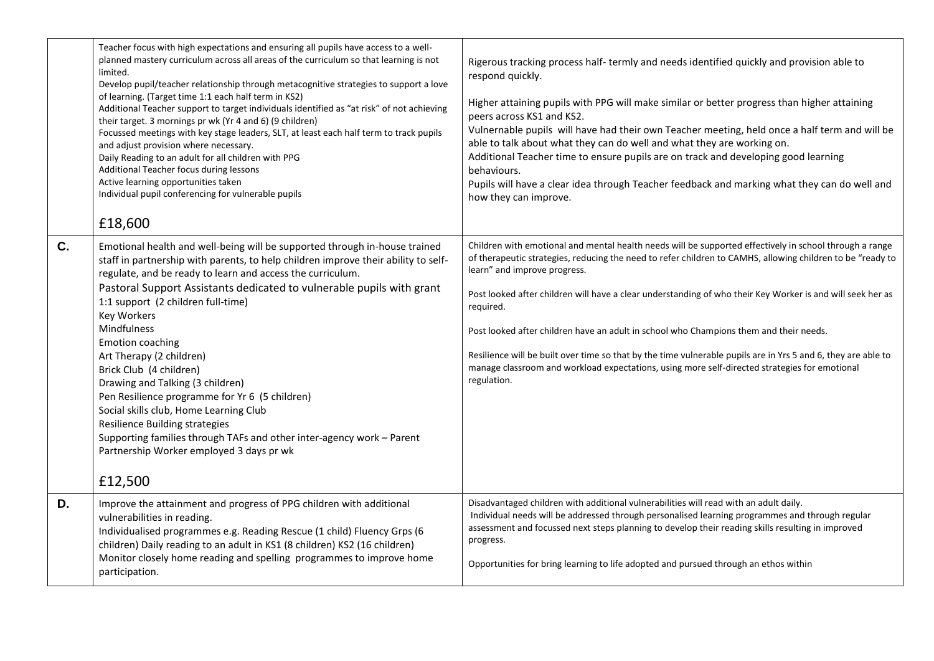|                | Teacher focus with high expectations and ensuring all pupils have access to a well-<br>planned mastery curriculum across all areas of the curriculum so that learning is not<br>limited.<br>Develop pupil/teacher relationship through metacognitive strategies to support a love<br>of learning. (Target time 1:1 each half term in KS2)<br>Additional Teacher support to target individuals identified as "at risk" of not achieving<br>their target. 3 mornings pr wk (Yr 4 and 6) (9 children)<br>Focussed meetings with key stage leaders, SLT, at least each half term to track pupils<br>and adjust provision where necessary.<br>Daily Reading to an adult for all children with PPG<br>Additional Teacher focus during lessons<br>Active learning opportunities taken<br>Individual pupil conferencing for vulnerable pupils<br>£18,600 | Rigerous tracking process half-termly and needs identified quickly and provision able to<br>respond quickly.<br>Higher attaining pupils with PPG will make similar or better progress than higher attaining<br>peers across KS1 and KS2.<br>Vulnernable pupils will have had their own Teacher meeting, held once a half term and will be<br>able to talk about what they can do well and what they are working on.<br>Additional Teacher time to ensure pupils are on track and developing good learning<br>behaviours.<br>Pupils will have a clear idea through Teacher feedback and marking what they can do well and<br>how they can improve.                                                           |
|----------------|--------------------------------------------------------------------------------------------------------------------------------------------------------------------------------------------------------------------------------------------------------------------------------------------------------------------------------------------------------------------------------------------------------------------------------------------------------------------------------------------------------------------------------------------------------------------------------------------------------------------------------------------------------------------------------------------------------------------------------------------------------------------------------------------------------------------------------------------------|-------------------------------------------------------------------------------------------------------------------------------------------------------------------------------------------------------------------------------------------------------------------------------------------------------------------------------------------------------------------------------------------------------------------------------------------------------------------------------------------------------------------------------------------------------------------------------------------------------------------------------------------------------------------------------------------------------------|
| $\mathbf{C}$ . | Emotional health and well-being will be supported through in-house trained<br>staff in partnership with parents, to help children improve their ability to self-<br>regulate, and be ready to learn and access the curriculum.<br>Pastoral Support Assistants dedicated to vulnerable pupils with grant<br>1:1 support (2 children full-time)<br><b>Key Workers</b><br>Mindfulness<br><b>Emotion coaching</b><br>Art Therapy (2 children)<br>Brick Club (4 children)<br>Drawing and Talking (3 children)<br>Pen Resilience programme for Yr 6 (5 children)<br>Social skills club, Home Learning Club<br>Resilience Building strategies<br>Supporting families through TAFs and other inter-agency work - Parent<br>Partnership Worker employed 3 days pr wk<br>£12,500                                                                           | Children with emotional and mental health needs will be supported effectively in school through a range<br>of therapeutic strategies, reducing the need to refer children to CAMHS, allowing children to be "ready to<br>learn" and improve progress.<br>Post looked after children will have a clear understanding of who their Key Worker is and will seek her as<br>required.<br>Post looked after children have an adult in school who Champions them and their needs.<br>Resilience will be built over time so that by the time vulnerable pupils are in Yrs 5 and 6, they are able to<br>manage classroom and workload expectations, using more self-directed strategies for emotional<br>regulation. |
| D.             | Improve the attainment and progress of PPG children with additional<br>vulnerabilities in reading.<br>Individualised programmes e.g. Reading Rescue (1 child) Fluency Grps (6<br>children) Daily reading to an adult in KS1 (8 children) KS2 (16 children)<br>Monitor closely home reading and spelling programmes to improve home<br>participation.                                                                                                                                                                                                                                                                                                                                                                                                                                                                                             | Disadvantaged children with additional vulnerabilities will read with an adult daily.<br>Individual needs will be addressed through personalised learning programmes and through regular<br>assessment and focussed next steps planning to develop their reading skills resulting in improved<br>progress.<br>Opportunities for bring learning to life adopted and pursued through an ethos within                                                                                                                                                                                                                                                                                                          |